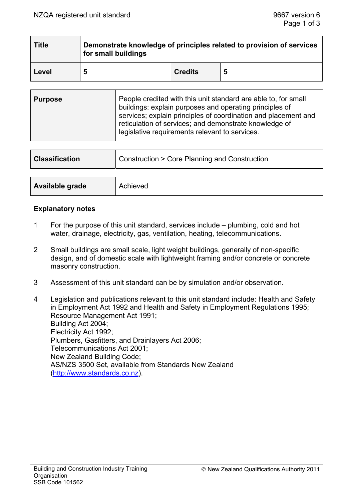| <b>Title</b> | Demonstrate knowledge of principles related to provision of services<br>for small buildings |                |    |  |  |
|--------------|---------------------------------------------------------------------------------------------|----------------|----|--|--|
| Level        | 5                                                                                           | <b>Credits</b> | -5 |  |  |

| <b>Purpose</b> | People credited with this unit standard are able to, for small<br>buildings: explain purposes and operating principles of<br>services; explain principles of coordination and placement and<br>reticulation of services; and demonstrate knowledge of<br>legislative requirements relevant to services. |
|----------------|---------------------------------------------------------------------------------------------------------------------------------------------------------------------------------------------------------------------------------------------------------------------------------------------------------|
|                |                                                                                                                                                                                                                                                                                                         |

| <b>Classification</b> | Construction > Core Planning and Construction |  |
|-----------------------|-----------------------------------------------|--|
|                       |                                               |  |
| Available grade       | Achieved                                      |  |

#### **Explanatory notes**

- 1 For the purpose of this unit standard, services include plumbing, cold and hot water, drainage, electricity, gas, ventilation, heating, telecommunications.
- 2 Small buildings are small scale, light weight buildings, generally of non-specific design, and of domestic scale with lightweight framing and/or concrete or concrete masonry construction.
- 3 Assessment of this unit standard can be by simulation and/or observation.
- 4 Legislation and publications relevant to this unit standard include: Health and Safety in Employment Act 1992 and Health and Safety in Employment Regulations 1995; Resource Management Act 1991; Building Act 2004; Electricity Act 1992; Plumbers, Gasfitters, and Drainlayers Act 2006; Telecommunications Act 2001; New Zealand Building Code; AS/NZS 3500 Set, available from Standards New Zealand (http://www.standards.co.nz).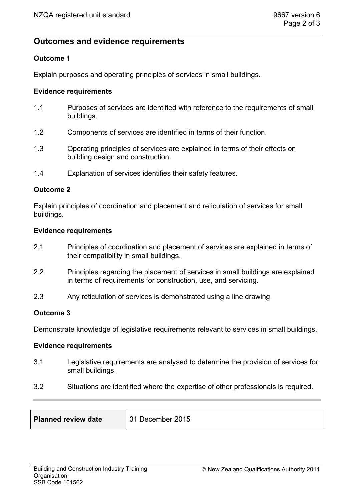# **Outcomes and evidence requirements**

## **Outcome 1**

Explain purposes and operating principles of services in small buildings.

### **Evidence requirements**

- 1.1 Purposes of services are identified with reference to the requirements of small buildings.
- 1.2 Components of services are identified in terms of their function.
- 1.3 Operating principles of services are explained in terms of their effects on building design and construction.
- 1.4 Explanation of services identifies their safety features.

## **Outcome 2**

Explain principles of coordination and placement and reticulation of services for small buildings.

#### **Evidence requirements**

- 2.1 Principles of coordination and placement of services are explained in terms of their compatibility in small buildings.
- 2.2 Principles regarding the placement of services in small buildings are explained in terms of requirements for construction, use, and servicing.
- 2.3 Any reticulation of services is demonstrated using a line drawing.

#### **Outcome 3**

Demonstrate knowledge of legislative requirements relevant to services in small buildings.

#### **Evidence requirements**

- 3.1 Legislative requirements are analysed to determine the provision of services for small buildings.
- 3.2 Situations are identified where the expertise of other professionals is required.

| <b>Planned review date</b> | 31 December 2015 |
|----------------------------|------------------|
|----------------------------|------------------|